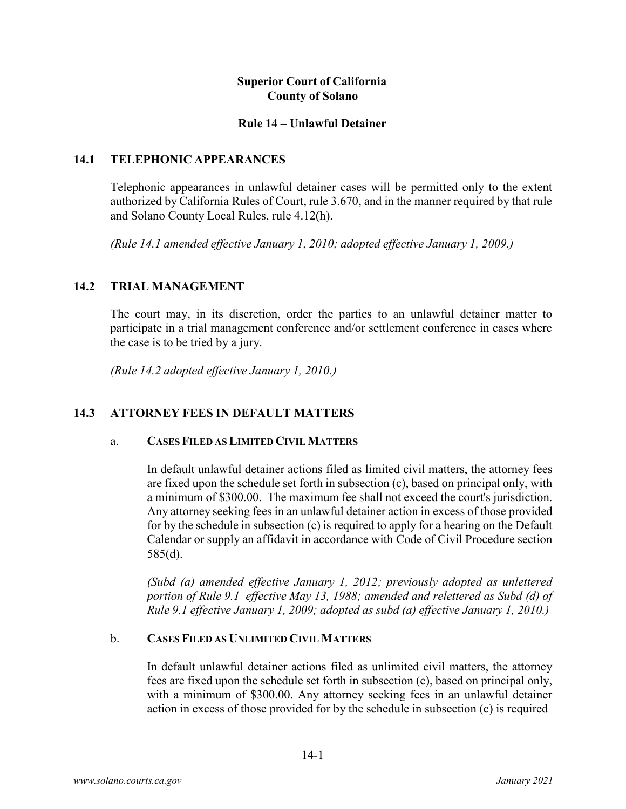## **Superior Court of California County of Solano**

#### **Rule 14 – Unlawful Detainer**

### **14.1 TELEPHONIC APPEARANCES**

Telephonic appearances in unlawful detainer cases will be permitted only to the extent authorized by California Rules of Court, rule 3.670, and in the manner required by that rule and Solano County Local Rules, rule 4.12(h).

*(Rule 14.1 amended effective January 1, 2010; adopted effective January 1, 2009.)*

## **14.2 TRIAL MANAGEMENT**

The court may, in its discretion, order the parties to an unlawful detainer matter to participate in a trial management conference and/or settlement conference in cases where the case is to be tried by a jury.

*(Rule 14.2 adopted effective January 1, 2010.)*

# **14.3 ATTORNEY FEES IN DEFAULT MATTERS**

### a. **CASESFILED ASLIMITED CIVIL MATTERS**

In default unlawful detainer actions filed as limited civil matters, the attorney fees are fixed upon the schedule set forth in subsection (c), based on principal only, with a minimum of \$300.00. The maximum fee shall not exceed the court's jurisdiction. Any attorney seeking fees in an unlawful detainer action in excess of those provided for by the schedule in subsection (c) is required to apply for a hearing on the Default Calendar or supply an affidavit in accordance with Code of Civil Procedure section 585(d).

*(Subd (a) amended effective January 1, 2012; previously adopted as unlettered portion of Rule 9.1 effective May 13, 1988; amended and relettered as Subd (d) of Rule 9.1 effective January 1, 2009; adopted as subd (a) effective January 1, 2010.)*

### b. **CASES FILED AS UNLIMITED CIVIL MATTERS**

In default unlawful detainer actions filed as unlimited civil matters, the attorney fees are fixed upon the schedule set forth in subsection (c), based on principal only, with a minimum of \$300.00. Any attorney seeking fees in an unlawful detainer action in excess of those provided for by the schedule in subsection (c) is required